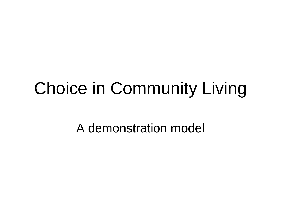#### Choice in Community Living

A demonstration model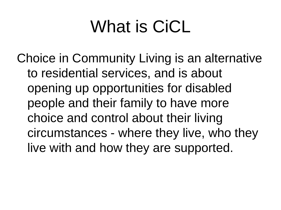#### What is CiCL

Choice in Community Living is an alternative to residential services, and is about opening up opportunities for disabled people and their family to have more choice and control about their living circumstances - where they live, who they live with and how they are supported.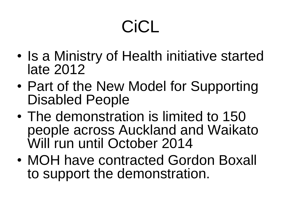# CiCL

- Is a Ministry of Health initiative started late 2012
- Part of the New Model for Supporting Disabled People
- The demonstration is limited to 150 people across Auckland and Waikato Will run until October 2014
- MOH have contracted Gordon Boxall to support the demonstration.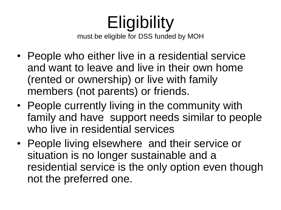#### **Eligibility** must be eligible for DSS funded by MOH

- People who either live in a residential service and want to leave and live in their own home (rented or ownership) or live with family members (not parents) or friends.
- People currently living in the community with family and have support needs similar to people who live in residential services
- People living elsewhere and their service or situation is no longer sustainable and a residential service is the only option even though not the preferred one.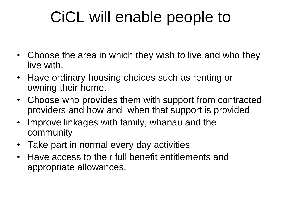#### CiCL will enable people to

- Choose the area in which they wish to live and who they live with.
- Have ordinary housing choices such as renting or owning their home.
- Choose who provides them with support from contracted providers and how and when that support is provided
- Improve linkages with family, whanau and the community
- Take part in normal every day activities
- Have access to their full benefit entitlements and appropriate allowances.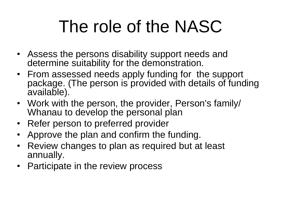# The role of the NASC

- Assess the persons disability support needs and determine suitability for the demonstration.
- From assessed needs apply funding for the support package. (The person is provided with details of funding available).
- Work with the person, the provider, Person's family/ Whanau to develop the personal plan
- Refer person to preferred provider
- Approve the plan and confirm the funding.
- Review changes to plan as required but at least annually.
- Participate in the review process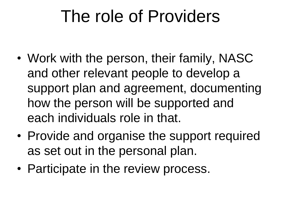#### The role of Providers

- Work with the person, their family, NASC and other relevant people to develop a support plan and agreement, documenting how the person will be supported and each individuals role in that.
- Provide and organise the support required as set out in the personal plan.
- Participate in the review process.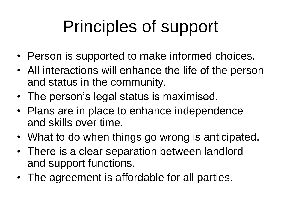# Principles of support

- Person is supported to make informed choices.
- All interactions will enhance the life of the person and status in the community.
- The person's legal status is maximised.
- Plans are in place to enhance independence and skills over time.
- What to do when things go wrong is anticipated.
- There is a clear separation between landlord and support functions.
- The agreement is affordable for all parties.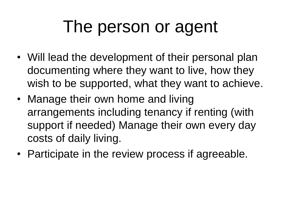#### The person or agent

- Will lead the development of their personal plan documenting where they want to live, how they wish to be supported, what they want to achieve.
- Manage their own home and living arrangements including tenancy if renting (with support if needed) Manage their own every day costs of daily living.
- Participate in the review process if agreeable.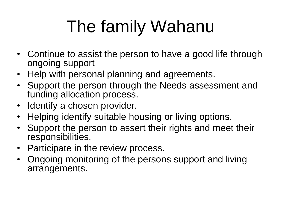# The family Wahanu

- Continue to assist the person to have a good life through ongoing support
- Help with personal planning and agreements.
- Support the person through the Needs assessment and funding allocation process.
- Identify a chosen provider.
- Helping identify suitable housing or living options.
- Support the person to assert their rights and meet their responsibilities.
- Participate in the review process.
- Ongoing monitoring of the persons support and living arrangements.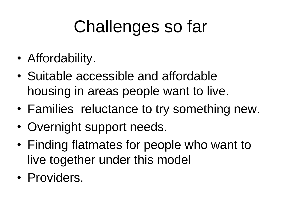# Challenges so far

- Affordability.
- Suitable accessible and affordable housing in areas people want to live.
- Families reluctance to try something new.
- Overnight support needs.
- Finding flatmates for people who want to live together under this model
- Providers.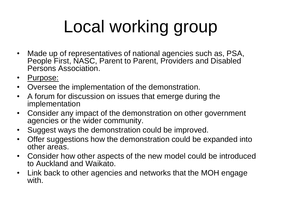# Local working group

- Made up of representatives of national agencies such as, PSA, People First, NASC, Parent to Parent, Providers and Disabled Persons Association.
- Purpose:
- Oversee the implementation of the demonstration.
- A forum for discussion on issues that emerge during the implementation
- Consider any impact of the demonstration on other government agencies or the wider community.
- Suggest ways the demonstration could be improved.
- Offer suggestions how the demonstration could be expanded into other areas.
- Consider how other aspects of the new model could be introduced to Auckland and Waikato.
- Link back to other agencies and networks that the MOH engage with.